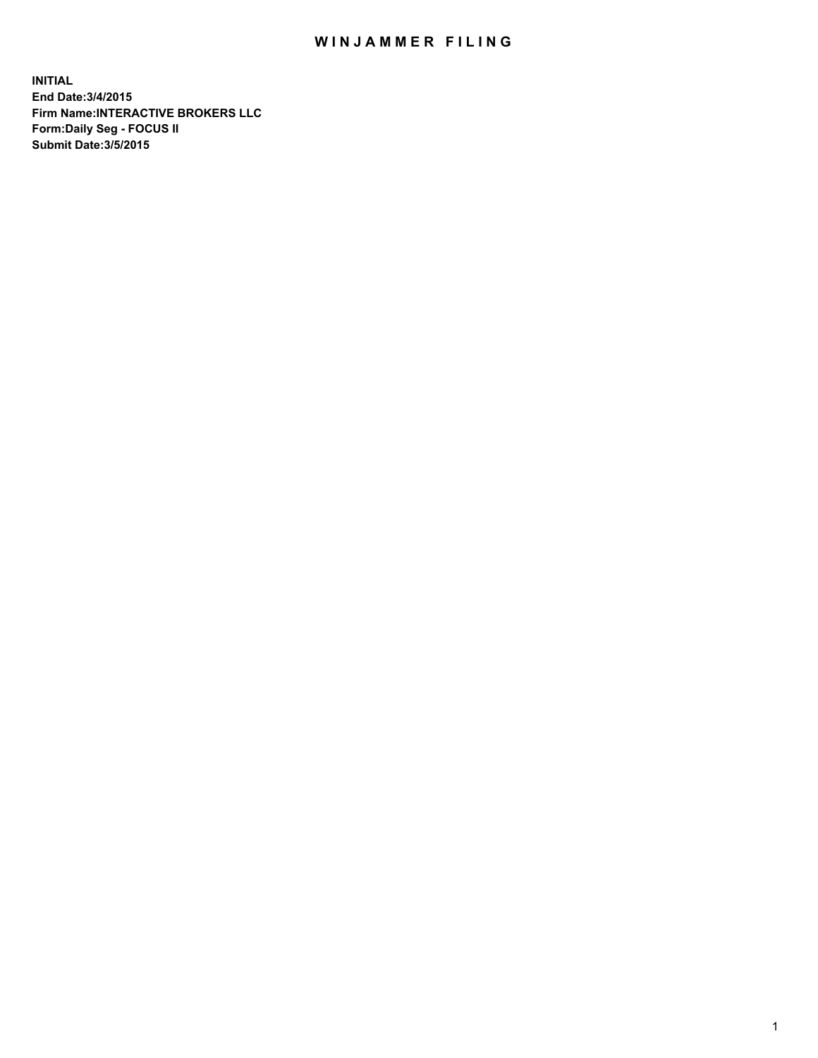## WIN JAMMER FILING

**INITIAL End Date:3/4/2015 Firm Name:INTERACTIVE BROKERS LLC Form:Daily Seg - FOCUS II Submit Date:3/5/2015**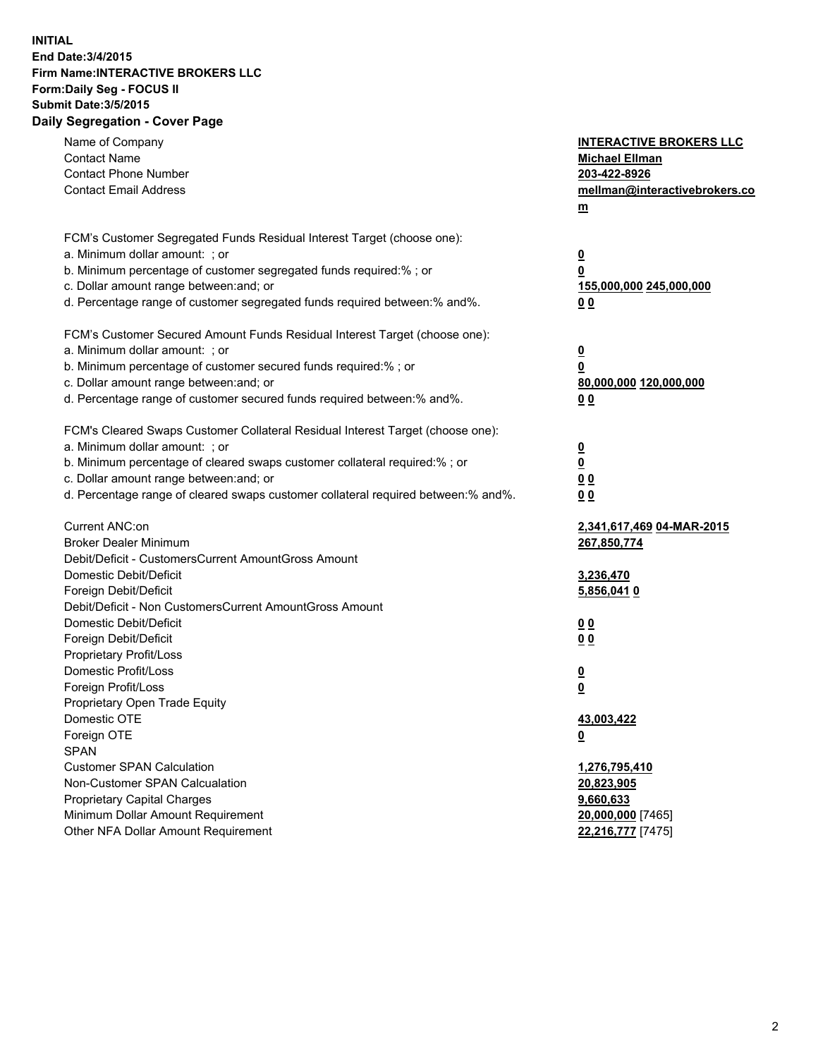## **INITIAL End Date:3/4/2015 Firm Name:INTERACTIVE BROKERS LLC Form:Daily Seg - FOCUS II Submit Date:3/5/2015 Daily Segregation - Cover Page**

| Name of Company<br><b>Contact Name</b><br><b>Contact Phone Number</b><br><b>Contact Email Address</b>                                                                                                                                                                                                                          | <b>INTERACTIVE BROKERS LLC</b><br><b>Michael Ellman</b><br>203-422-8926<br>mellman@interactivebrokers.co<br>$m$ |
|--------------------------------------------------------------------------------------------------------------------------------------------------------------------------------------------------------------------------------------------------------------------------------------------------------------------------------|-----------------------------------------------------------------------------------------------------------------|
| FCM's Customer Segregated Funds Residual Interest Target (choose one):<br>a. Minimum dollar amount: ; or<br>b. Minimum percentage of customer segregated funds required:% ; or<br>c. Dollar amount range between: and; or<br>d. Percentage range of customer segregated funds required between:% and%.                         | $\overline{\mathbf{0}}$<br>0<br>155,000,000 245,000,000<br>0 <sub>0</sub>                                       |
| FCM's Customer Secured Amount Funds Residual Interest Target (choose one):<br>a. Minimum dollar amount: ; or<br>b. Minimum percentage of customer secured funds required:% ; or<br>c. Dollar amount range between: and; or<br>d. Percentage range of customer secured funds required between:% and%.                           | $\overline{\mathbf{0}}$<br>0<br>80,000,000 120,000,000<br>0 <sub>0</sub>                                        |
| FCM's Cleared Swaps Customer Collateral Residual Interest Target (choose one):<br>a. Minimum dollar amount: ; or<br>b. Minimum percentage of cleared swaps customer collateral required:% ; or<br>c. Dollar amount range between: and; or<br>d. Percentage range of cleared swaps customer collateral required between:% and%. | $\overline{\mathbf{0}}$<br>$\overline{\mathbf{0}}$<br>0 <sub>0</sub><br>0 <sub>0</sub>                          |
| Current ANC:on<br><b>Broker Dealer Minimum</b><br>Debit/Deficit - CustomersCurrent AmountGross Amount<br>Domestic Debit/Deficit<br>Foreign Debit/Deficit                                                                                                                                                                       | 2,341,617,469 04-MAR-2015<br>267,850,774<br>3,236,470<br>5,856,0410                                             |
| Debit/Deficit - Non CustomersCurrent AmountGross Amount<br>Domestic Debit/Deficit<br>Foreign Debit/Deficit<br>Proprietary Profit/Loss<br>Domestic Profit/Loss<br>Foreign Profit/Loss                                                                                                                                           | 0 <sub>0</sub><br>0 <sub>0</sub><br>$\overline{\mathbf{0}}$<br>$\underline{\mathbf{0}}$                         |
| Proprietary Open Trade Equity<br>Domestic OTE<br>Foreign OTE<br><b>SPAN</b><br><b>Customer SPAN Calculation</b>                                                                                                                                                                                                                | 43,003,422<br><u>0</u><br>1,276,795,410                                                                         |
| Non-Customer SPAN Calcualation<br>Proprietary Capital Charges<br>Minimum Dollar Amount Requirement<br>Other NFA Dollar Amount Requirement                                                                                                                                                                                      | 20,823,905<br>9,660,633<br>20,000,000 [7465]<br>22,216,777 [7475]                                               |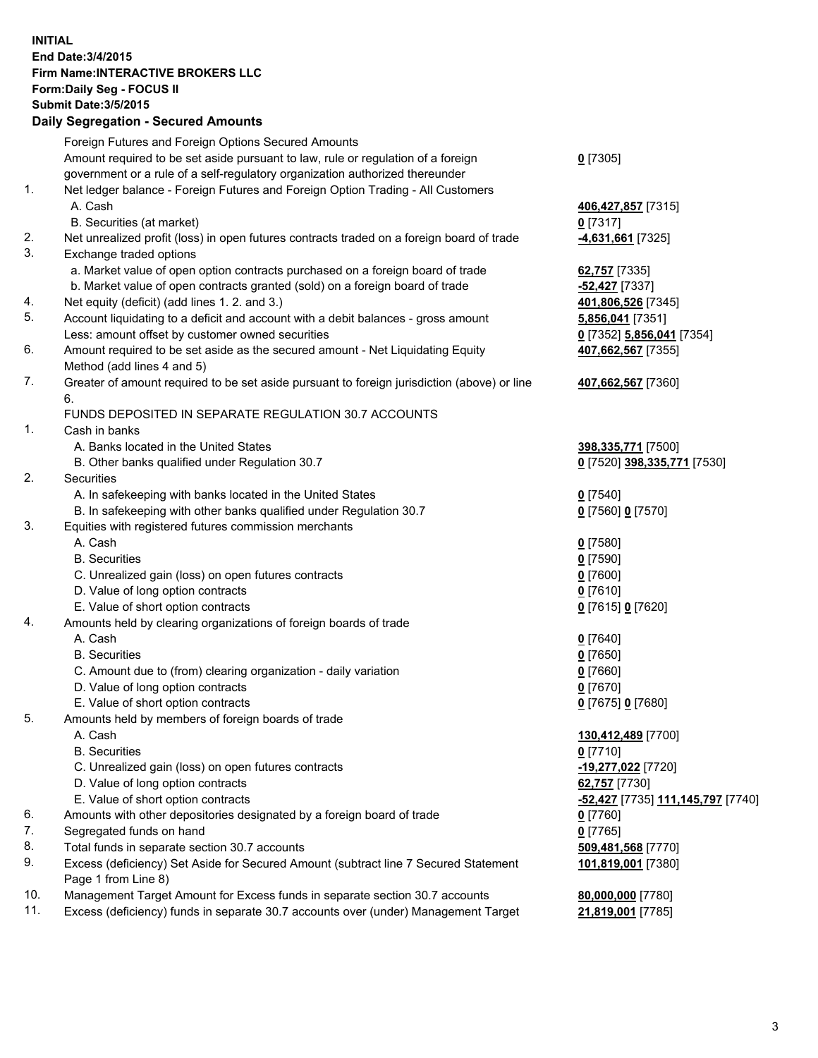## **INITIAL End Date:3/4/2015 Firm Name:INTERACTIVE BROKERS LLC Form:Daily Seg - FOCUS II Submit Date:3/5/2015 Daily Segregation - Secured Amounts**

|     | Foreign Futures and Foreign Options Secured Amounts                                         |                                                |
|-----|---------------------------------------------------------------------------------------------|------------------------------------------------|
|     | Amount required to be set aside pursuant to law, rule or regulation of a foreign            | $0$ [7305]                                     |
|     | government or a rule of a self-regulatory organization authorized thereunder                |                                                |
| 1.  | Net ledger balance - Foreign Futures and Foreign Option Trading - All Customers             |                                                |
|     | A. Cash                                                                                     | 406,427,857 [7315]                             |
|     | B. Securities (at market)                                                                   | $0$ [7317]                                     |
| 2.  | Net unrealized profit (loss) in open futures contracts traded on a foreign board of trade   | 4,631,661 [7325]                               |
| 3.  | Exchange traded options                                                                     |                                                |
|     | a. Market value of open option contracts purchased on a foreign board of trade              | 62,757 [7335]                                  |
|     | b. Market value of open contracts granted (sold) on a foreign board of trade                | -52,427 [7337]                                 |
| 4.  | Net equity (deficit) (add lines 1. 2. and 3.)                                               | 401,806,526 [7345]                             |
| 5.  | Account liquidating to a deficit and account with a debit balances - gross amount           | 5,856,041 [7351]                               |
|     | Less: amount offset by customer owned securities                                            | 0 [7352] 5,856,041 [7354]                      |
| 6.  | Amount required to be set aside as the secured amount - Net Liquidating Equity              | 407,662,567 [7355]                             |
|     | Method (add lines 4 and 5)                                                                  |                                                |
| 7.  | Greater of amount required to be set aside pursuant to foreign jurisdiction (above) or line | 407,662,567 [7360]                             |
|     | 6.                                                                                          |                                                |
|     | FUNDS DEPOSITED IN SEPARATE REGULATION 30.7 ACCOUNTS                                        |                                                |
| 1.  | Cash in banks                                                                               |                                                |
|     | A. Banks located in the United States                                                       | 398,335,771 [7500]                             |
|     | B. Other banks qualified under Regulation 30.7                                              | 0 [7520] 398,335,771 [7530]                    |
| 2.  | Securities                                                                                  |                                                |
|     | A. In safekeeping with banks located in the United States                                   | $Q$ [7540]                                     |
|     | B. In safekeeping with other banks qualified under Regulation 30.7                          | 0 [7560] 0 [7570]                              |
| 3.  | Equities with registered futures commission merchants                                       |                                                |
|     | A. Cash                                                                                     | $0$ [7580]                                     |
|     | <b>B.</b> Securities                                                                        | $0$ [7590]                                     |
|     | C. Unrealized gain (loss) on open futures contracts                                         | $0$ [7600]                                     |
|     | D. Value of long option contracts                                                           | $0$ [7610]                                     |
|     | E. Value of short option contracts                                                          | 0 [7615] 0 [7620]                              |
| 4.  | Amounts held by clearing organizations of foreign boards of trade                           |                                                |
|     | A. Cash                                                                                     | $0$ [7640]                                     |
|     | <b>B.</b> Securities                                                                        | $0$ [7650]                                     |
|     | C. Amount due to (from) clearing organization - daily variation                             | $0$ [7660]                                     |
|     | D. Value of long option contracts                                                           | $0$ [7670]                                     |
|     | E. Value of short option contracts                                                          | 0 [7675] 0 [7680]                              |
| 5.  | Amounts held by members of foreign boards of trade                                          |                                                |
|     | A. Cash                                                                                     | 130,412,489 [7700]                             |
|     | <b>B.</b> Securities                                                                        | $0$ [7710]                                     |
|     | C. Unrealized gain (loss) on open futures contracts                                         | -19,277,022 [7720]                             |
|     | D. Value of long option contracts                                                           | 62,757 [7730]                                  |
|     | E. Value of short option contracts                                                          | <mark>-52,427</mark> [7735] 111,145,797 [7740] |
| 6.  | Amounts with other depositories designated by a foreign board of trade                      | $0$ [7760]                                     |
| 7.  | Segregated funds on hand                                                                    | $0$ [7765]                                     |
| 8.  | Total funds in separate section 30.7 accounts                                               | 509,481,568 [7770]                             |
| 9.  | Excess (deficiency) Set Aside for Secured Amount (subtract line 7 Secured Statement         | 101,819,001 [7380]                             |
|     | Page 1 from Line 8)                                                                         |                                                |
| 10. | Management Target Amount for Excess funds in separate section 30.7 accounts                 | 80,000,000 [7780]                              |
| 11. | Excess (deficiency) funds in separate 30.7 accounts over (under) Management Target          | 21,819,001 [7785]                              |
|     |                                                                                             |                                                |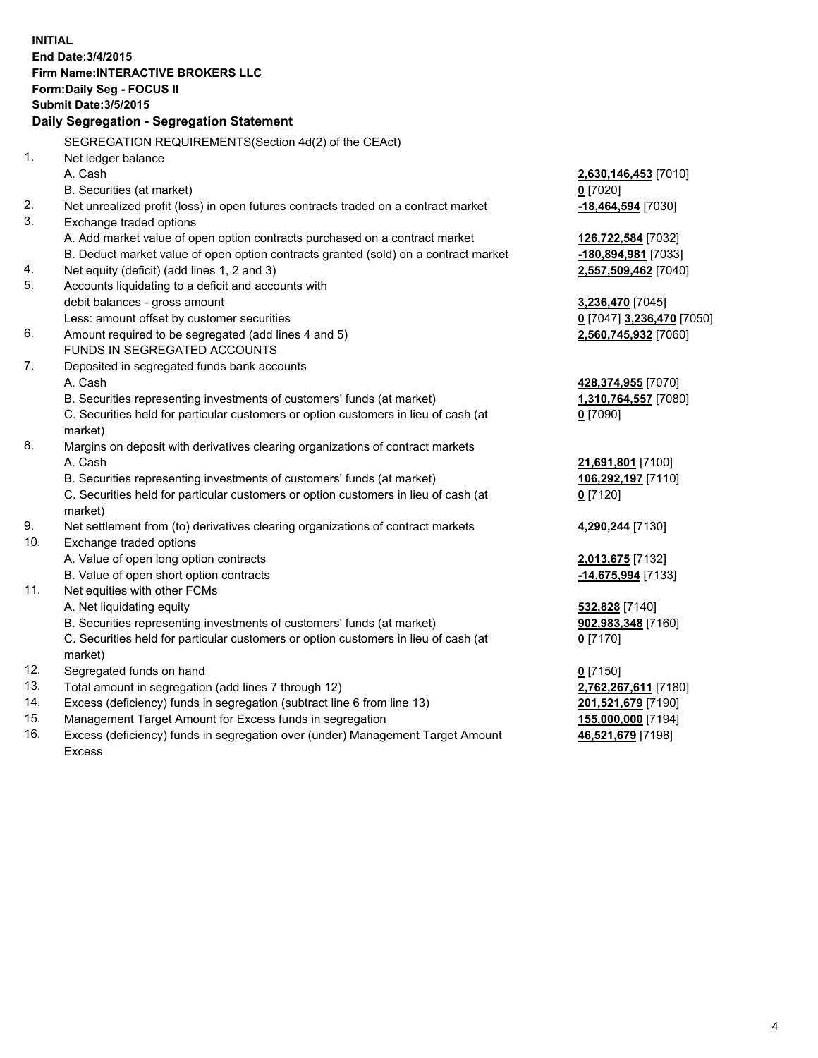**INITIAL End Date:3/4/2015 Firm Name:INTERACTIVE BROKERS LLC Form:Daily Seg - FOCUS II Submit Date:3/5/2015 Daily Segregation - Segregation Statement** SEGREGATION REQUIREMENTS(Section 4d(2) of the CEAct) 1. Net ledger balance A. Cash **2,630,146,453** [7010] B. Securities (at market) **0** [7020] 2. Net unrealized profit (loss) in open futures contracts traded on a contract market **-18,464,594** [7030] 3. Exchange traded options A. Add market value of open option contracts purchased on a contract market **126,722,584** [7032] B. Deduct market value of open option contracts granted (sold) on a contract market **-180,894,981** [7033] 4. Net equity (deficit) (add lines 1, 2 and 3) **2,557,509,462** [7040] 5. Accounts liquidating to a deficit and accounts with debit balances - gross amount **3,236,470** [7045] Less: amount offset by customer securities **0** [7047] **3,236,470** [7050] 6. Amount required to be segregated (add lines 4 and 5) **2,560,745,932** [7060] FUNDS IN SEGREGATED ACCOUNTS 7. Deposited in segregated funds bank accounts A. Cash **428,374,955** [7070] B. Securities representing investments of customers' funds (at market) **1,310,764,557** [7080] C. Securities held for particular customers or option customers in lieu of cash (at market) **0** [7090] 8. Margins on deposit with derivatives clearing organizations of contract markets A. Cash **21,691,801** [7100] B. Securities representing investments of customers' funds (at market) **106,292,197** [7110] C. Securities held for particular customers or option customers in lieu of cash (at market) **0** [7120] 9. Net settlement from (to) derivatives clearing organizations of contract markets **4,290,244** [7130] 10. Exchange traded options A. Value of open long option contracts **2,013,675** [7132] B. Value of open short option contracts **-14,675,994** [7133] 11. Net equities with other FCMs A. Net liquidating equity **532,828** [7140] B. Securities representing investments of customers' funds (at market) **902,983,348** [7160] C. Securities held for particular customers or option customers in lieu of cash (at market) **0** [7170] 12. Segregated funds on hand **0** [7150] 13. Total amount in segregation (add lines 7 through 12) **2,762,267,611** [7180] 14. Excess (deficiency) funds in segregation (subtract line 6 from line 13) **201,521,679** [7190] 15. Management Target Amount for Excess funds in segregation **155,000,000** [7194]

16. Excess (deficiency) funds in segregation over (under) Management Target Amount Excess

**46,521,679** [7198]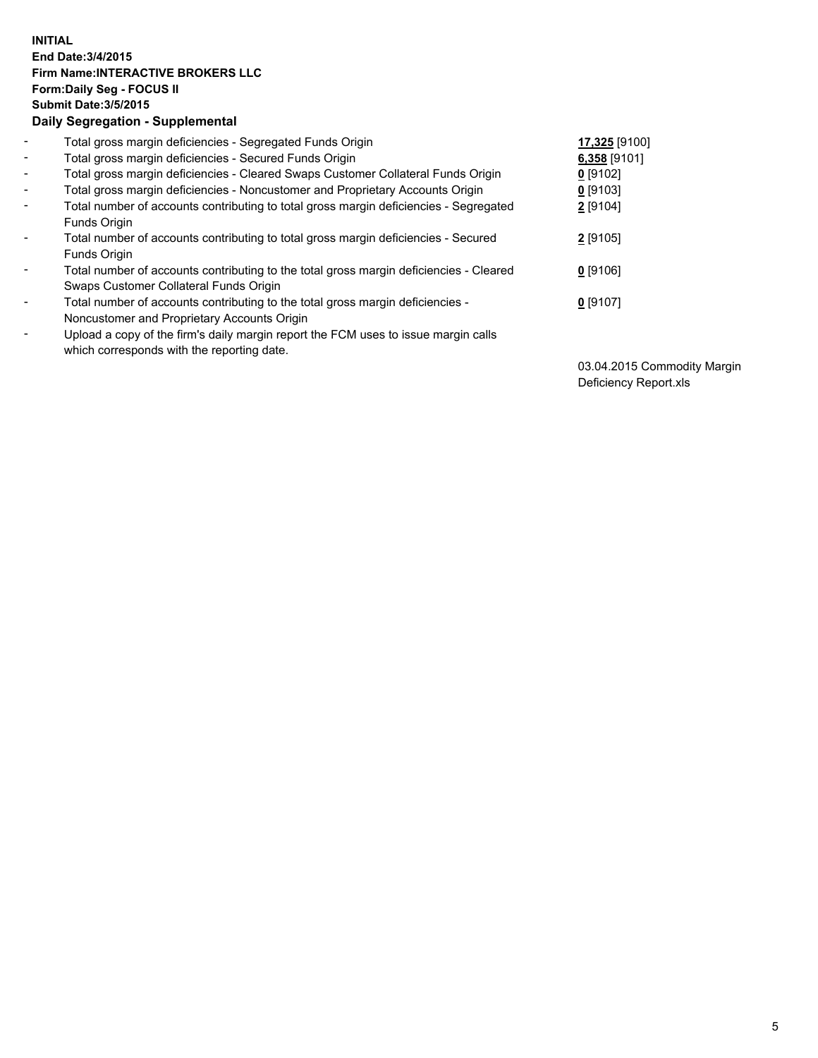## **INITIAL End Date:3/4/2015 Firm Name:INTERACTIVE BROKERS LLC Form:Daily Seg - FOCUS II Submit Date:3/5/2015 Daily Segregation - Supplemental**

| $\blacksquare$           | Total gross margin deficiencies - Segregated Funds Origin                              | 17,325 [9100] |
|--------------------------|----------------------------------------------------------------------------------------|---------------|
| $\sim$                   | Total gross margin deficiencies - Secured Funds Origin                                 | 6,358 [9101]  |
| $\blacksquare$           | Total gross margin deficiencies - Cleared Swaps Customer Collateral Funds Origin       | $0$ [9102]    |
| $\blacksquare$           | Total gross margin deficiencies - Noncustomer and Proprietary Accounts Origin          | $0$ [9103]    |
| $\blacksquare$           | Total number of accounts contributing to total gross margin deficiencies - Segregated  | 2 [9104]      |
|                          | Funds Origin                                                                           |               |
| $\blacksquare$           | Total number of accounts contributing to total gross margin deficiencies - Secured     | 2 [9105]      |
|                          | <b>Funds Origin</b>                                                                    |               |
| $\blacksquare$           | Total number of accounts contributing to the total gross margin deficiencies - Cleared | $0$ [9106]    |
|                          | Swaps Customer Collateral Funds Origin                                                 |               |
| -                        | Total number of accounts contributing to the total gross margin deficiencies -         | $0$ [9107]    |
|                          | Noncustomer and Proprietary Accounts Origin                                            |               |
| $\overline{\phantom{0}}$ | Upload a copy of the firm's daily margin report the FCM uses to issue margin calls     |               |
|                          | which corresponds with the reporting date.                                             |               |

03.04.2015 Commodity Margin Deficiency Report.xls